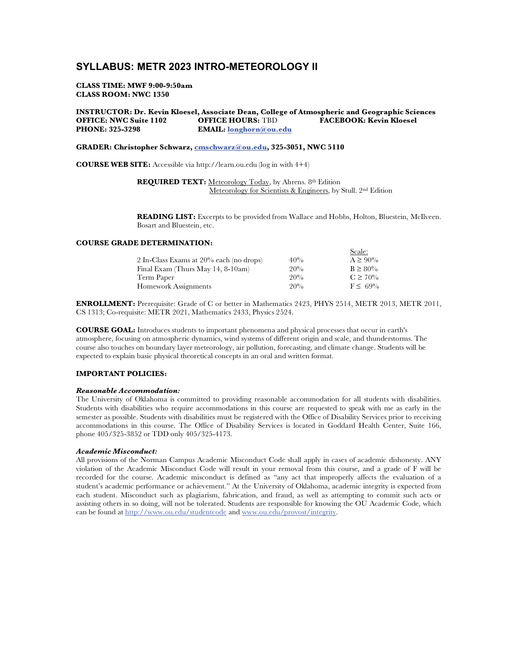# **SYLLABUS: METR 2023 INTRO-METEOROLOGY II**

#### **CLASS TIME: MWF 9:00-9:50am CLASS ROOM: NWC 1350**

## **INSTRUCTOR: Dr. Kevin Kloesel, Associate Dean, College of Atmospheric and Geographic Sciences OFFICE: NWC Suite 1102<br>PHONE: 325-3298**  $EMAIL: longhorn@ou.edu$

#### **GRADER: Christopher Schwarz, cmschwarz@ou.edu, 325-3051, NWC 5110**

**COURSE WEB SITE:** Accessible via http://learn.ou.edu (log in with 4+4)

**REQUIRED TEXT:** Meteorology Today, by Ahrens. 8th Edition Meteorology for Scientists & Engineers, by Stull. 2nd Edition

**READING LIST:** Excerpts to be provided from Wallace and Hobbs, Holton, Bluestein, McIlveen. Bosart and Bluestein, etc.

# **COURSE GRADE DETERMINATION:**

|                                            |     | Scale:       |
|--------------------------------------------|-----|--------------|
| 2 In-Class Exams at $20\%$ each (no drops) | 40% | $A \ge 90\%$ |
| Final Exam (Thurs May $14, 8-10$ am)       | 20% | $B \ge 80\%$ |
| Term Paper                                 | 20% | $C \ge 70\%$ |
| Homework Assignments                       | 20% | $F \le 69\%$ |

**ENROLLMENT:** Prerequisite: Grade of C or better in Mathematics 2423, PHYS 2514, METR 2013, METR 2011, CS 1313; Co-requisite: METR 2021, Mathematics 2433, Physics 2524.

**COURSE GOAL:** Introduces students to important phenomena and physical processes that occur in earth's atmosphere, focusing on atmospheric dynamics, wind systems of different origin and scale, and thunderstorms. The course also touches on boundary layer meteorology, air pollution, forecasting, and climate change. Students will be expected to explain basic physical theoretical concepts in an oral and written format.

### **IMPORTANT POLICIES:**

#### *Reasonable Accommodation:*

The University of Oklahoma is committed to providing reasonable accommodation for all students with disabilities. Students with disabilities who require accommodations in this course are requested to speak with me as early in the semester as possible. Students with disabilities must be registered with the Office of Disability Services prior to receiving accommodations in this course. The Office of Disability Services is located in Goddard Health Center, Suite 166, phone 405/325-3852 or TDD only 405/325-4173.

#### *Academic Misconduct:*

All provisions of the Norman Campus Academic Misconduct Code shall apply in cases of academic dishonesty. ANY violation of the Academic Misconduct Code will result in your removal from this course, and a grade of F will be recorded for the course. Academic misconduct is defined as "any act that improperly affects the evaluation of a student's academic performance or achievement." At the University of Oklahoma, academic integrity is expected from each student. Misconduct such as plagiarism, fabrication, and fraud, as well as attempting to commit such acts or assisting others in so doing, will not be tolerated. Students are responsible for knowing the OU Academic Code, which can be found at http://www.ou.edu/studentcode and www.ou.edu/provost/integrity.